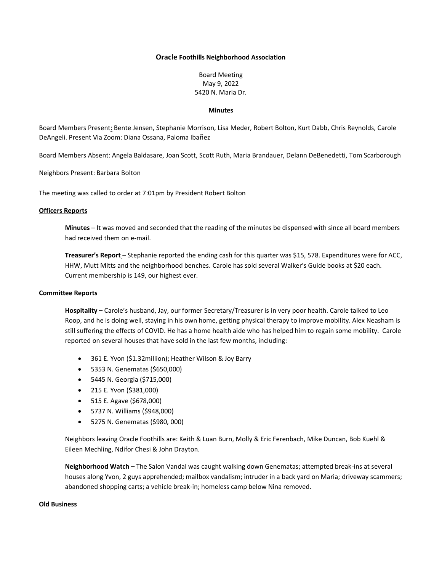## **Oracle Foothills Neighborhood Association**

Board Meeting May 9, 2022 5420 N. Maria Dr.

#### **Minutes**

Board Members Present: Bente Jensen, Stephanie Morrison, Lisa Meder, Robert Bolton, Kurt Dabb, Chris Reynolds, Carole DeAngeli. Present Via Zoom: Diana Ossana, Paloma Ibañez

Board Members Absent: Angela Baldasare, Joan Scott, Scott Ruth, Maria Brandauer, Delann DeBenedetti, Tom Scarborough

Neighbors Present: Barbara Bolton

The meeting was called to order at 7:01pm by President Robert Bolton

# **Officers Reports**

**Minutes** – It was moved and seconded that the reading of the minutes be dispensed with since all board members had received them on e-mail.

**Treasurer's Report** – Stephanie reported the ending cash for this quarter was \$15, 578. Expenditures were for ACC, HHW, Mutt Mitts and the neighborhood benches. Carole has sold several Walker's Guide books at \$20 each. Current membership is 149, our highest ever.

## **Committee Reports**

**Hospitality –** Carole's husband, Jay, our former Secretary/Treasurer is in very poor health. Carole talked to Leo Roop, and he is doing well, staying in his own home, getting physical therapy to improve mobility. Alex Neasham is still suffering the effects of COVID. He has a home health aide who has helped him to regain some mobility. Carole reported on several houses that have sold in the last few months, including:

- 361 E. Yvon (\$1.32million); Heather Wilson & Joy Barry
- 5353 N. Genematas (\$650,000)
- 5445 N. Georgia (\$715,000)
- 215 E. Yvon (\$381,000)
- 515 E. Agave (\$678,000)
- 5737 N. Williams (\$948,000)
- 5275 N. Genematas (\$980, 000)

Neighbors leaving Oracle Foothills are: Keith & Luan Burn, Molly & Eric Ferenbach, Mike Duncan, Bob Kuehl & Eileen Mechling, Ndifor Chesi & John Drayton.

**Neighborhood Watch** – The Salon Vandal was caught walking down Genematas; attempted break-ins at several houses along Yvon, 2 guys apprehended; mailbox vandalism; intruder in a back yard on Maria; driveway scammers; abandoned shopping carts; a vehicle break-in; homeless camp below Nina removed.

# **Old Business**